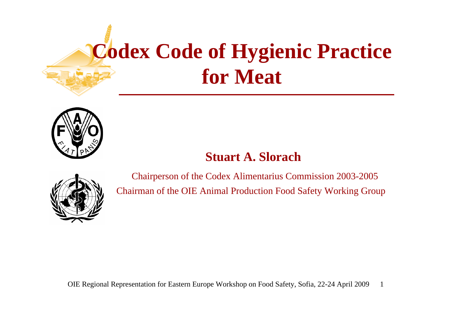# **Codex Code of Hygienic Practice for Meat**



#### **Stuart A. Slorach**



Chairperson of the Codex Alimentarius Commission 2003-2005 Chairman of the OIE Animal Production Food Safety Working Group

1OIE Regional Representation for Eastern Europe Workshop on Food Safety, Sofia, 22-24 April 2009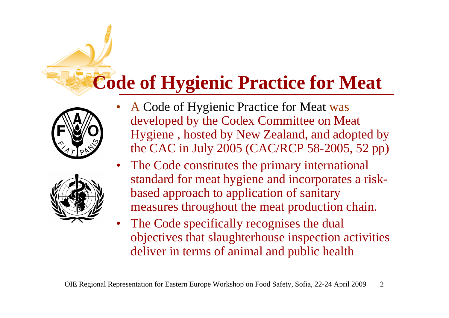#### **Code of Hygienic Practice for Meat**





- • A Code of Hygienic Practice for Meat was developed by the Codex Committee on Meat Hygiene , hosted by New Zealand, and adopted by the CAC in July 2005 (CAC/RCP 58-2005, 52 pp)
- • The Code constitutes the primary international standard for meat hygiene and incorporates a riskbased approach to application of sanitary measures throughout the meat production chain.
- • The Code specifically recognises the dual objectives that slaughterhouse inspection activities deliver in terms of animal and public health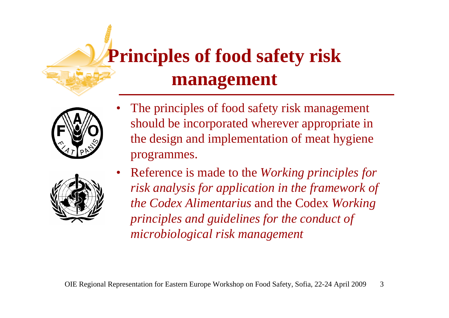#### **Principles of food safety risk management**



- 
- • The principles of food safety risk management should be incorporated wherever appropriate in the design and implementation of meat hygiene programmes.
- $\bullet$  Reference is made to the *Working principles for risk analysis for application in the framework of the Codex Alimentarius* and the Codex *Working principles and guidelines for the conduct of microbiological risk management*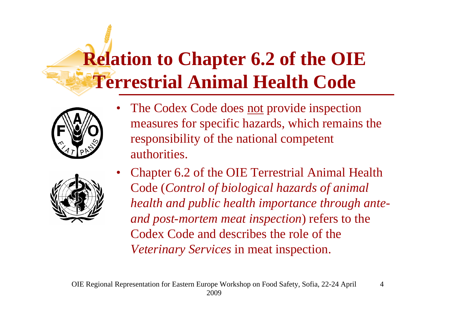# **Relation to Chapter 6.2 of the OIE Terrestrial Animal Health Code**



•The Codex Code does not provide inspection measures for specific hazards, which remains the responsibility of the national competent authorities.



• Chapter 6.2 of the OIE Terrestrial Animal Health Code (*Control of biological hazards of animal health and public health importance through anteand post-mortem meat inspection*) refers to the Codex Code and describes the role of the *Veterinary Services* in meat inspection.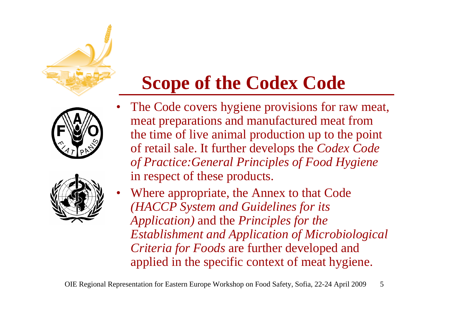#### **Scope of the Codex Code**

- • The Code covers hygiene provisions for raw meat, meat preparations and manufactured meat from the time of live animal production up to the point of retail sale. It further develops the *Codex Code of Practice:General Principles of Food Hygiene* in respect of these products.
- Where appropriate, the Annex to that Code *(HACCP System and Guidelines for its Application)* and the *Principles for the Establishment and Application of Microbiological Criteria for Foods* are further developed and applied in the specific context of meat hygiene.

•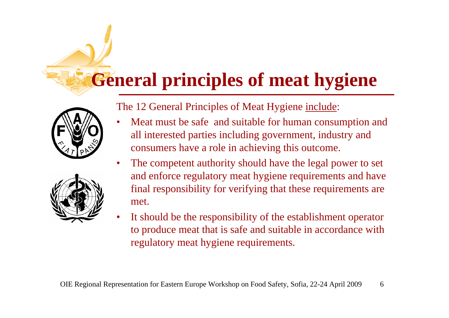#### **General principles of meat hygiene**



The 12 General Principles of Meat Hygiene include:

- • Meat must be safe and suitable for human consumption and all interested parties including government, industry and consumers have a role in achieving this outcome.
- • The competent authority should have the legal power to set and enforce regulatory meat hygiene requirements and have final responsibility for verifying that these requirements are met.
- • It should be the responsibility of the establishment operator to produce meat that is safe and suitable in accordance with regulatory meat hygiene requirements.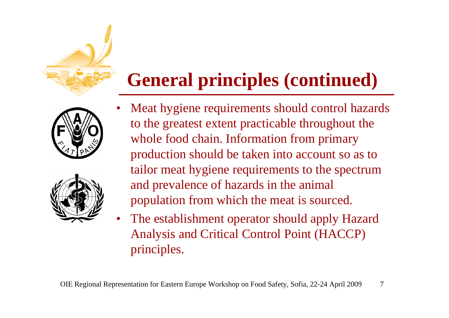



#### **General principles (continued)**

- • Meat hygiene requirements should control hazards to the greatest extent practicable throughout the whole food chain. Information from primary production should be taken into account so as to tailor meat hygiene requirements to the spectrum and prevalence of hazards in the animal population from which the meat is sourced.
- $\bullet$  The establishment operator should apply Hazard Analysis and Critical Control Point (HACCP) principles.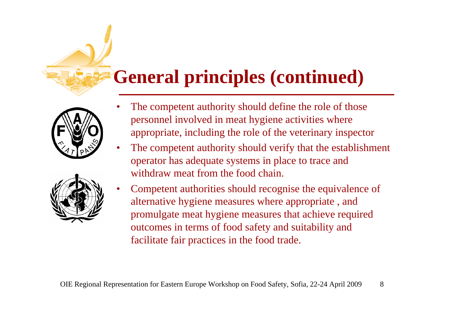#### **General principles (continued)**





•

- • The competent authority should define the role of those personnel involved in meat hygiene activities where appropriate, including the role of the veterinary inspector
- • The competent authority should verify that the establishment operator has adequate systems in place to trace and withdraw meat from the food chain.
- Competent authorities should recognise the equivalence of alternative hygiene measures where appropriate , and promulgate meat hygiene measures that achieve required outcomes in terms of food safety and suitability and facilitate fair practices in the food trade.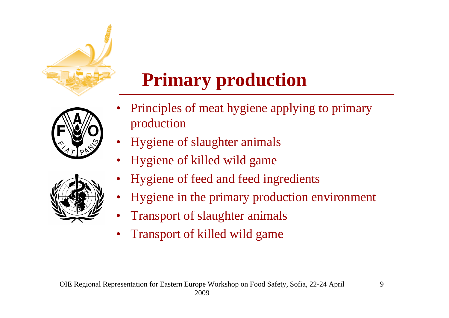

#### **Primary production**



- • Principles of meat hygiene applying to primary production
- •Hygiene of slaughter animals
- •Hygiene of killed wild game
- •Hygiene of feed and feed ingredients
- •Hygiene in the primary production environment
- •Transport of slaughter animals
- •Transport of killed wild game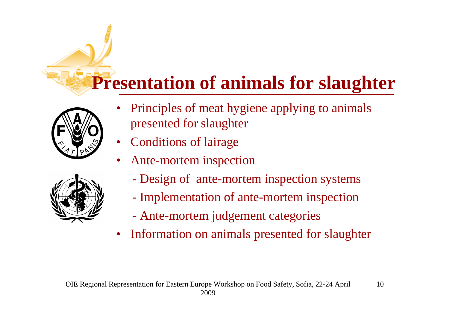#### **Presentation of animals for slaughter**



- • Principles of meat hygiene applying to animals presented for slaughter
- •Conditions of lairage
- • Ante-mortem inspection
	- Design of ante-mortem inspection systems
	- Implementation of ante-mortem inspection
	- Ante-mortem judgement categories
- $\bullet$ Information on animals presented for slaughter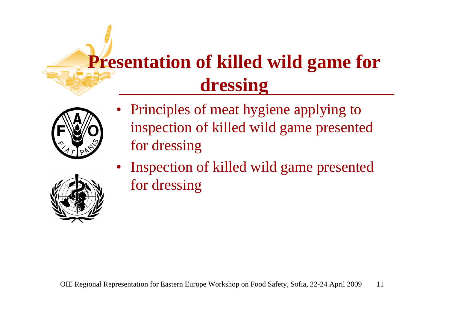#### **Presentation of killed wild game for dressing**



- • Principles of meat hygiene applying to inspection of killed wild game presented for dressing
- Inspection of killed wild game presented for dressing

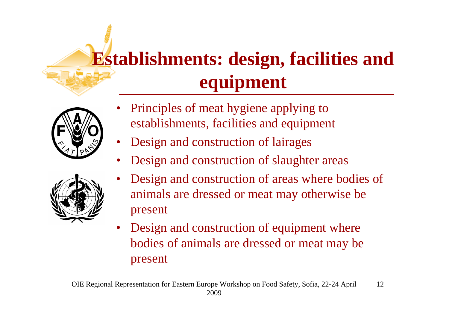## **Establishments: design, facilities and equipment**



- • Principles of meat hygiene applying to establishments, facilities and equipment
- •Design and construction of lairages
- •Design and construction of slaughter areas



- • Design and construction of areas where bodies of animals are dressed or meat may otherwise be present
- $\bullet$  Design and construction of equipment where bodies of animals are dressed or meat may be present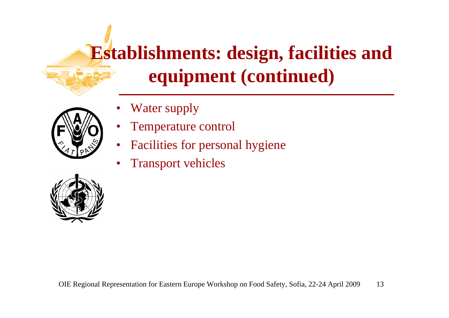#### **Establishments: design, facilities and equipment (continued)**



- •Water supply
- •Temperature control
- •Facilities for personal hygiene
- •Transport vehicles

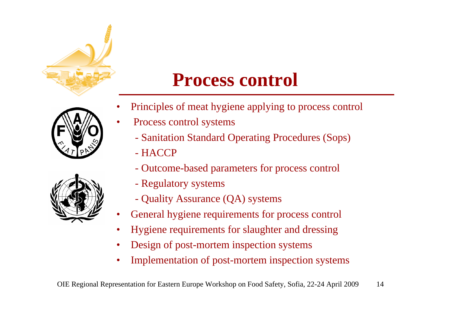

#### **Process control**

•

•



- Principles of meat hygiene applying to process control
- Process control systems
	- Sanitation Standard Operating Procedures (Sops)
	- HACCP
	- Outcome-based parameters for process control
	- Regulatory systems
	- Quality Assurance (QA) systems
- •General hygiene requirements for process control
- •Hygiene requirements for slaughter and dressing
- •Design of post-mortem inspection systems
- •Implementation of post-mortem inspection systems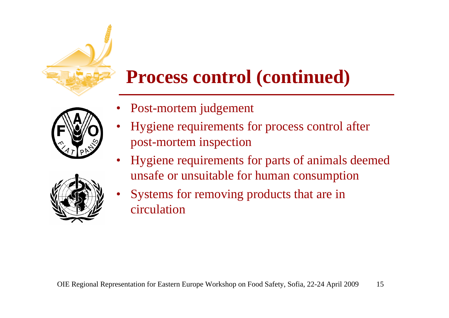

#### **Process control (continued)**



- •Post-mortem judgement
- • Hygiene requirements for process control after post-mortem inspection
- • Hygiene requirements for parts of animals deemed unsafe or unsuitable for human consumption



• Systems for removing products that are in circulation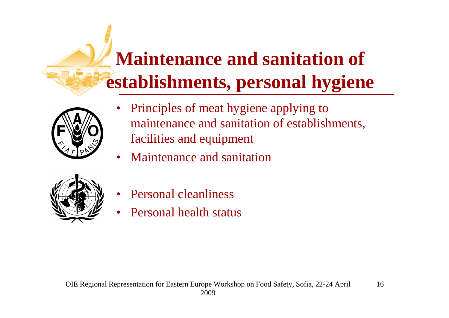# **Maintenance and sanitation of establishments, personal hygiene**



- • Principles of meat hygiene applying to maintenance and sanitation of establishments, facilities and equipment
- •Maintenance and sanitation



- •Personal cleanliness
- •Personal health status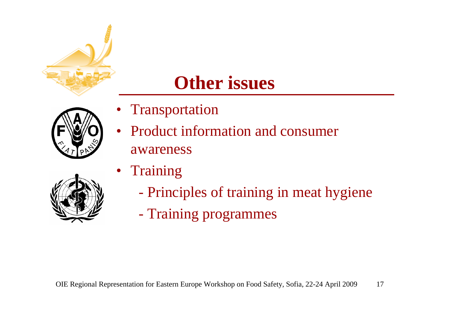

#### **Other issues**

- Transportation
- $\bullet$  Product information and consumer awareness



- •**Training** 
	- Principles of training in meat hygiene
	- Training programmes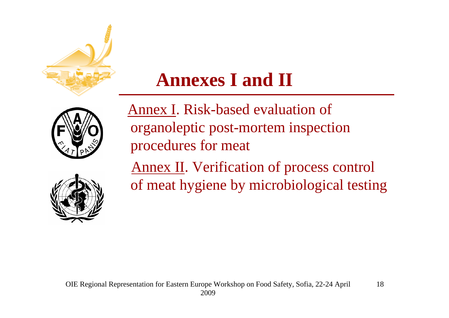

#### **Annexes I and II**



Annex I. Risk-based evaluation of organoleptic post-mortem inspection procedures for meat Annex II. Verification of process control of meat hygiene by microbiological testing

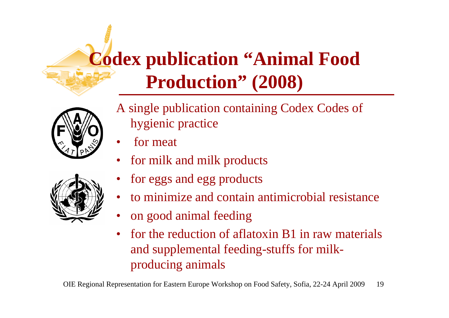### **Codex publication "Animal Food Production" (2008)**



- A single publication containing Codex Codes of hygienic practice
- •for meat
- •for milk and milk products
- •for eggs and egg products
- to minimize and contain antimicrobial resistance
- •on good animal feeding
- • for the reduction of aflatoxin B1 in raw materials and supplemental feeding-stuffs for milkproducing animals

OIE Regional Representation for Eastern Europe Workshop on Food Safety, Sofia, 22-24 April 2009 19